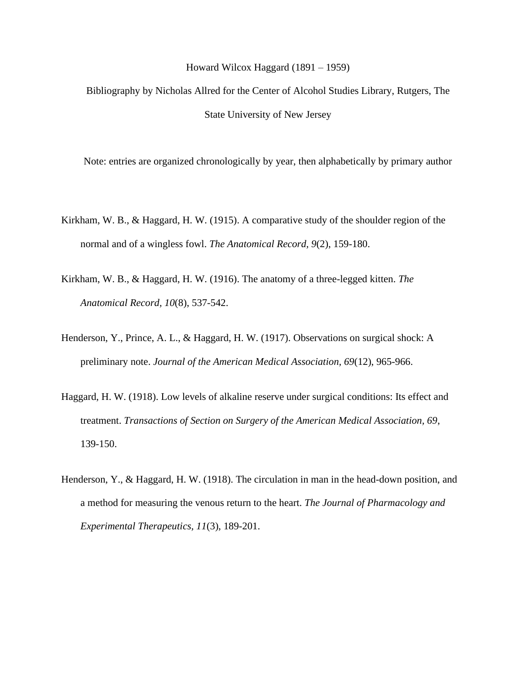## Howard Wilcox Haggard (1891 – 1959)

Bibliography by Nicholas Allred for the Center of Alcohol Studies Library, Rutgers, The State University of New Jersey

Note: entries are organized chronologically by year, then alphabetically by primary author

- Kirkham, W. B., & Haggard, H. W. (1915). A comparative study of the shoulder region of the normal and of a wingless fowl. *The Anatomical Record, 9*(2), 159-180.
- Kirkham, W. B., & Haggard, H. W. (1916). The anatomy of a three-legged kitten. *The Anatomical Record, 10*(8), 537-542.
- Henderson, Y., Prince, A. L., & Haggard, H. W. (1917). Observations on surgical shock: A preliminary note. *Journal of the American Medical Association, 69*(12), 965-966.
- Haggard, H. W. (1918). Low levels of alkaline reserve under surgical conditions: Its effect and treatment. *Transactions of Section on Surgery of the American Medical Association, 69*, 139-150.
- Henderson, Y., & Haggard, H. W. (1918). The circulation in man in the head-down position, and a method for measuring the venous return to the heart. *The Journal of Pharmacology and Experimental Therapeutics, 11*(3), 189-201.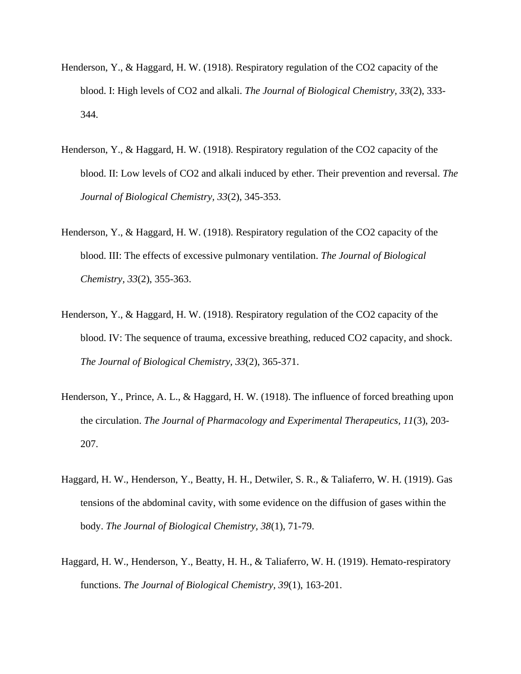- Henderson, Y., & Haggard, H. W. (1918). Respiratory regulation of the CO2 capacity of the blood. I: High levels of CO2 and alkali. *The Journal of Biological Chemistry, 33*(2), 333- 344.
- Henderson, Y., & Haggard, H. W. (1918). Respiratory regulation of the CO2 capacity of the blood. II: Low levels of CO2 and alkali induced by ether. Their prevention and reversal. *The Journal of Biological Chemistry, 33*(2), 345-353.
- Henderson, Y., & Haggard, H. W. (1918). Respiratory regulation of the CO2 capacity of the blood. III: The effects of excessive pulmonary ventilation. *The Journal of Biological Chemistry, 33*(2), 355-363.
- Henderson, Y., & Haggard, H. W. (1918). Respiratory regulation of the CO2 capacity of the blood. IV: The sequence of trauma, excessive breathing, reduced CO2 capacity, and shock. *The Journal of Biological Chemistry, 33*(2), 365-371.
- Henderson, Y., Prince, A. L., & Haggard, H. W. (1918). The influence of forced breathing upon the circulation. *The Journal of Pharmacology and Experimental Therapeutics, 11*(3), 203- 207.
- Haggard, H. W., Henderson, Y., Beatty, H. H., Detwiler, S. R., & Taliaferro, W. H. (1919). Gas tensions of the abdominal cavity, with some evidence on the diffusion of gases within the body. *The Journal of Biological Chemistry, 38*(1), 71-79.
- Haggard, H. W., Henderson, Y., Beatty, H. H., & Taliaferro, W. H. (1919). Hemato-respiratory functions. *The Journal of Biological Chemistry, 39*(1), 163-201.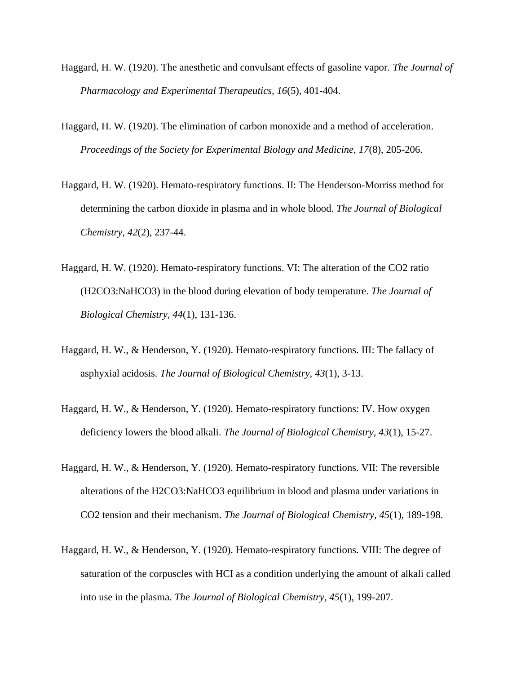- Haggard, H. W. (1920). The anesthetic and convulsant effects of gasoline vapor. *The Journal of Pharmacology and Experimental Therapeutics, 16*(5), 401-404.
- Haggard, H. W. (1920). The elimination of carbon monoxide and a method of acceleration. *Proceedings of the Society for Experimental Biology and Medicine, 17*(8), 205-206.
- Haggard, H. W. (1920). Hemato-respiratory functions. II: The Henderson-Morriss method for determining the carbon dioxide in plasma and in whole blood. *The Journal of Biological Chemistry, 42*(2), 237-44.
- Haggard, H. W. (1920). Hemato-respiratory functions. VI: The alteration of the CO2 ratio (H2CO3:NaHCO3) in the blood during elevation of body temperature. *The Journal of Biological Chemistry, 44*(1), 131-136.
- Haggard, H. W., & Henderson, Y. (1920). Hemato-respiratory functions. III: The fallacy of asphyxial acidosis. *The Journal of Biological Chemistry, 43*(1), 3-13.
- Haggard, H. W., & Henderson, Y. (1920). Hemato-respiratory functions: IV. How oxygen deficiency lowers the blood alkali. *The Journal of Biological Chemistry, 43*(1), 15-27.
- Haggard, H. W., & Henderson, Y. (1920). Hemato-respiratory functions. VII: The reversible alterations of the H2CO3:NaHCO3 equilibrium in blood and plasma under variations in CO2 tension and their mechanism. *The Journal of Biological Chemistry, 45*(1), 189-198.
- Haggard, H. W., & Henderson, Y. (1920). Hemato-respiratory functions. VIII: The degree of saturation of the corpuscles with HCI as a condition underlying the amount of alkali called into use in the plasma. *The Journal of Biological Chemistry, 45*(1), 199-207.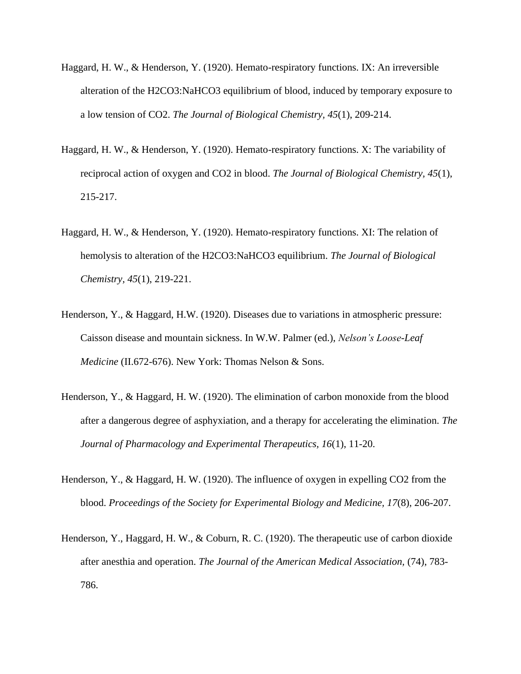- Haggard, H. W., & Henderson, Y. (1920). Hemato-respiratory functions. IX: An irreversible alteration of the H2CO3:NaHCO3 equilibrium of blood, induced by temporary exposure to a low tension of CO2. *The Journal of Biological Chemistry, 45*(1), 209-214.
- Haggard, H. W., & Henderson, Y. (1920). Hemato-respiratory functions. X: The variability of reciprocal action of oxygen and CO2 in blood. *The Journal of Biological Chemistry, 45*(1), 215-217.
- Haggard, H. W., & Henderson, Y. (1920). Hemato-respiratory functions. XI: The relation of hemolysis to alteration of the H2CO3:NaHCO3 equilibrium. *The Journal of Biological Chemistry, 45*(1), 219-221.
- Henderson, Y., & Haggard, H.W. (1920). Diseases due to variations in atmospheric pressure: Caisson disease and mountain sickness. In W.W. Palmer (ed.), *Nelson's Loose-Leaf Medicine* (II.672-676). New York: Thomas Nelson & Sons.
- Henderson, Y., & Haggard, H. W. (1920). The elimination of carbon monoxide from the blood after a dangerous degree of asphyxiation, and a therapy for accelerating the elimination. *The Journal of Pharmacology and Experimental Therapeutics, 16*(1), 11-20.
- Henderson, Y., & Haggard, H. W. (1920). The influence of oxygen in expelling CO2 from the blood. *Proceedings of the Society for Experimental Biology and Medicine, 17*(8), 206-207.
- Henderson, Y., Haggard, H. W., & Coburn, R. C. (1920). The therapeutic use of carbon dioxide after anesthia and operation. *The Journal of the American Medical Association,* (74), 783- 786.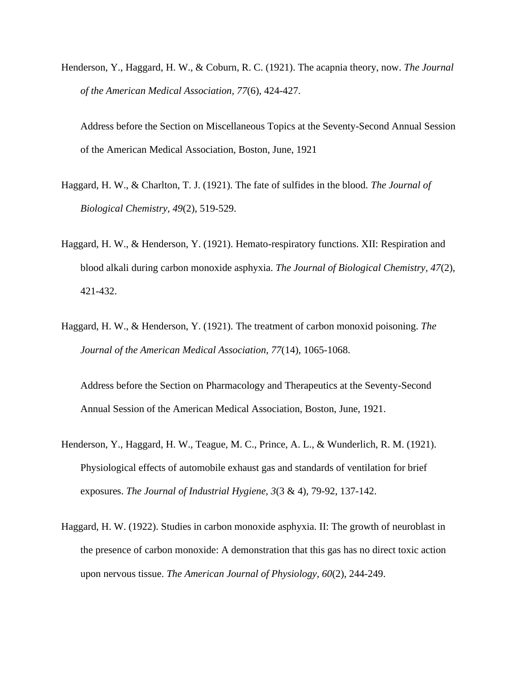Henderson, Y., Haggard, H. W., & Coburn, R. C. (1921). The acapnia theory, now. *The Journal of the American Medical Association, 77*(6), 424-427.

Address before the Section on Miscellaneous Topics at the Seventy-Second Annual Session of the American Medical Association, Boston, June, 1921

- Haggard, H. W., & Charlton, T. J. (1921). The fate of sulfides in the blood. *The Journal of Biological Chemistry, 49*(2), 519-529.
- Haggard, H. W., & Henderson, Y. (1921). Hemato-respiratory functions. XII: Respiration and blood alkali during carbon monoxide asphyxia. *The Journal of Biological Chemistry, 47*(2), 421-432.
- Haggard, H. W., & Henderson, Y. (1921). The treatment of carbon monoxid poisoning. *The Journal of the American Medical Association, 77*(14), 1065-1068.

Address before the Section on Pharmacology and Therapeutics at the Seventy-Second Annual Session of the American Medical Association, Boston, June, 1921.

- Henderson, Y., Haggard, H. W., Teague, M. C., Prince, A. L., & Wunderlich, R. M. (1921). Physiological effects of automobile exhaust gas and standards of ventilation for brief exposures. *The Journal of Industrial Hygiene, 3*(3 & 4), 79-92, 137-142.
- Haggard, H. W. (1922). Studies in carbon monoxide asphyxia. II: The growth of neuroblast in the presence of carbon monoxide: A demonstration that this gas has no direct toxic action upon nervous tissue. *The American Journal of Physiology, 60*(2), 244-249.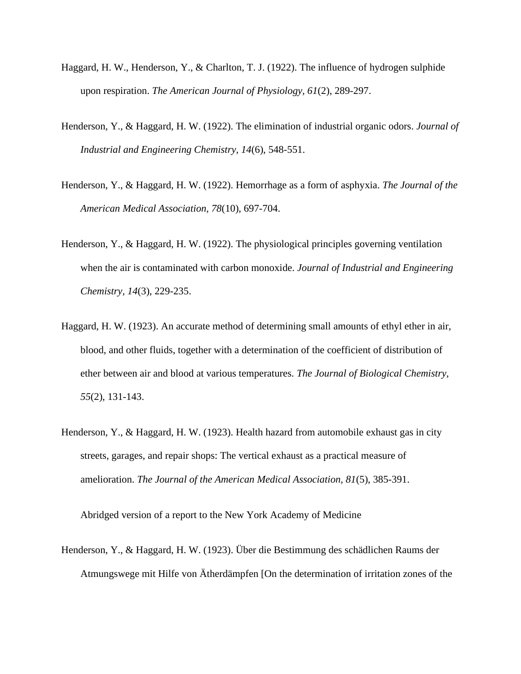- Haggard, H. W., Henderson, Y., & Charlton, T. J. (1922). The influence of hydrogen sulphide upon respiration. *The American Journal of Physiology, 61*(2), 289-297.
- Henderson, Y., & Haggard, H. W. (1922). The elimination of industrial organic odors. *Journal of Industrial and Engineering Chemistry, 14*(6), 548-551.
- Henderson, Y., & Haggard, H. W. (1922). Hemorrhage as a form of asphyxia. *The Journal of the American Medical Association, 78*(10), 697-704.
- Henderson, Y., & Haggard, H. W. (1922). The physiological principles governing ventilation when the air is contaminated with carbon monoxide. *Journal of Industrial and Engineering Chemistry, 14*(3), 229-235.
- Haggard, H. W. (1923). An accurate method of determining small amounts of ethyl ether in air, blood, and other fluids, together with a determination of the coefficient of distribution of ether between air and blood at various temperatures. *The Journal of Biological Chemistry, 55*(2), 131-143.
- Henderson, Y., & Haggard, H. W. (1923). Health hazard from automobile exhaust gas in city streets, garages, and repair shops: The vertical exhaust as a practical measure of amelioration. *The Journal of the American Medical Association, 81*(5), 385-391.

Abridged version of a report to the New York Academy of Medicine

Henderson, Y., & Haggard, H. W. (1923). Über die Bestimmung des schädlichen Raums der Atmungswege mit Hilfe von Ätherdämpfen [On the determination of irritation zones of the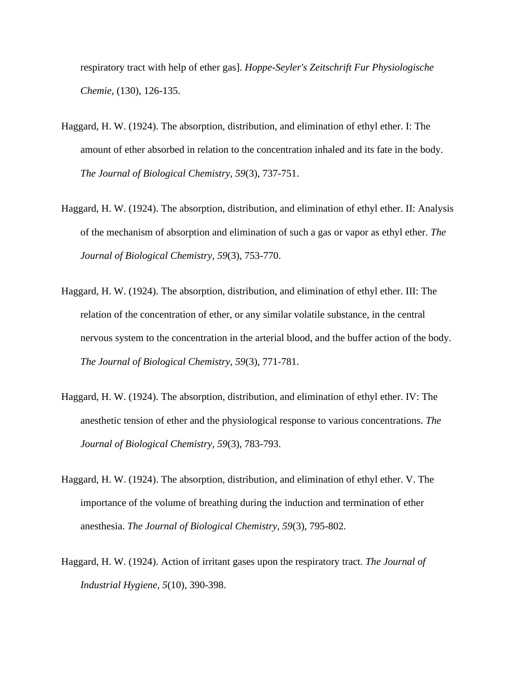respiratory tract with help of ether gas]. *Hoppe-Seyler's Zeitschrift Fur Physiologische Chemie,* (130), 126-135.

- Haggard, H. W. (1924). The absorption, distribution, and elimination of ethyl ether. I: The amount of ether absorbed in relation to the concentration inhaled and its fate in the body. *The Journal of Biological Chemistry, 59*(3), 737-751.
- Haggard, H. W. (1924). The absorption, distribution, and elimination of ethyl ether. II: Analysis of the mechanism of absorption and elimination of such a gas or vapor as ethyl ether. *The Journal of Biological Chemistry, 59*(3), 753-770.
- Haggard, H. W. (1924). The absorption, distribution, and elimination of ethyl ether. III: The relation of the concentration of ether, or any similar volatile substance, in the central nervous system to the concentration in the arterial blood, and the buffer action of the body. *The Journal of Biological Chemistry, 59*(3), 771-781.
- Haggard, H. W. (1924). The absorption, distribution, and elimination of ethyl ether. IV: The anesthetic tension of ether and the physiological response to various concentrations. *The Journal of Biological Chemistry, 59*(3), 783-793.
- Haggard, H. W. (1924). The absorption, distribution, and elimination of ethyl ether. V. The importance of the volume of breathing during the induction and termination of ether anesthesia. *The Journal of Biological Chemistry, 59*(3), 795-802.
- Haggard, H. W. (1924). Action of irritant gases upon the respiratory tract. *The Journal of Industrial Hygiene, 5*(10), 390-398.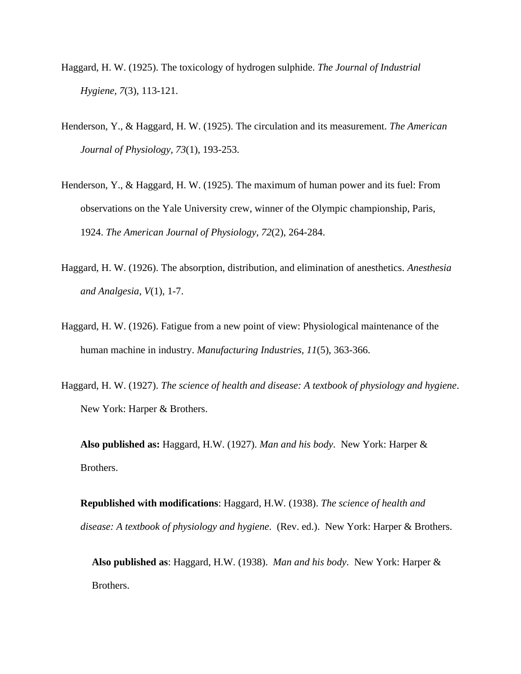- Haggard, H. W. (1925). The toxicology of hydrogen sulphide. *The Journal of Industrial Hygiene, 7*(3), 113-121.
- Henderson, Y., & Haggard, H. W. (1925). The circulation and its measurement. *The American Journal of Physiology, 73*(1), 193-253.
- Henderson, Y., & Haggard, H. W. (1925). The maximum of human power and its fuel: From observations on the Yale University crew, winner of the Olympic championship, Paris, 1924. *The American Journal of Physiology, 72*(2), 264-284.
- Haggard, H. W. (1926). The absorption, distribution, and elimination of anesthetics. *Anesthesia and Analgesia, V*(1), 1-7.
- Haggard, H. W. (1926). Fatigue from a new point of view: Physiological maintenance of the human machine in industry. *Manufacturing Industries, 11*(5), 363-366.
- Haggard, H. W. (1927). *The science of health and disease: A textbook of physiology and hygiene*. New York: Harper & Brothers.

**Also published as:** Haggard, H.W. (1927). *Man and his body*. New York: Harper & Brothers.

**Republished with modifications**: Haggard, H.W. (1938). *The science of health and disease: A textbook of physiology and hygiene*. (Rev. ed.). New York: Harper & Brothers.

**Also published as**: Haggard, H.W. (1938). *Man and his body*. New York: Harper & Brothers.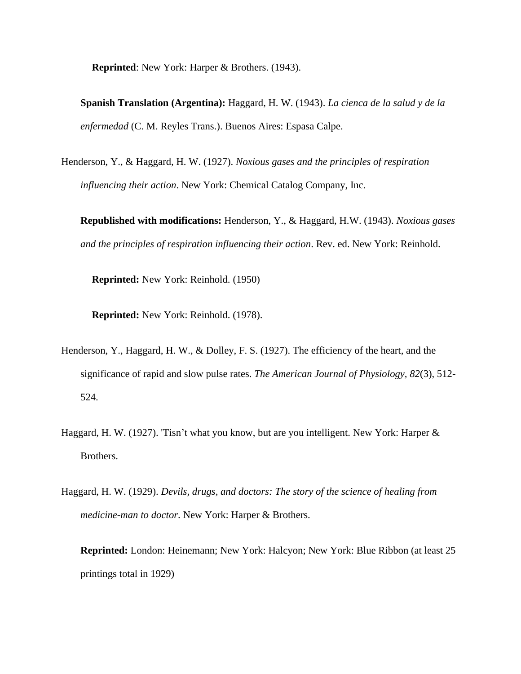**Reprinted**: New York: Harper & Brothers. (1943).

**Spanish Translation (Argentina):** Haggard, H. W. (1943). *La cienca de la salud y de la enfermedad* (C. M. Reyles Trans.). Buenos Aires: Espasa Calpe.

Henderson, Y., & Haggard, H. W. (1927). *Noxious gases and the principles of respiration influencing their action*. New York: Chemical Catalog Company, Inc.

**Republished with modifications:** Henderson, Y., & Haggard, H.W. (1943). *Noxious gases and the principles of respiration influencing their action*. Rev. ed. New York: Reinhold.

**Reprinted:** New York: Reinhold. (1950)

**Reprinted:** New York: Reinhold. (1978).

- Henderson, Y., Haggard, H. W., & Dolley, F. S. (1927). The efficiency of the heart, and the significance of rapid and slow pulse rates. *The American Journal of Physiology, 82*(3), 512- 524.
- Haggard, H. W. (1927). 'Tisn't what you know, but are you intelligent. New York: Harper & Brothers.
- Haggard, H. W. (1929). *Devils, drugs, and doctors: The story of the science of healing from medicine-man to doctor*. New York: Harper & Brothers.

**Reprinted:** London: Heinemann; New York: Halcyon; New York: Blue Ribbon (at least 25 printings total in 1929)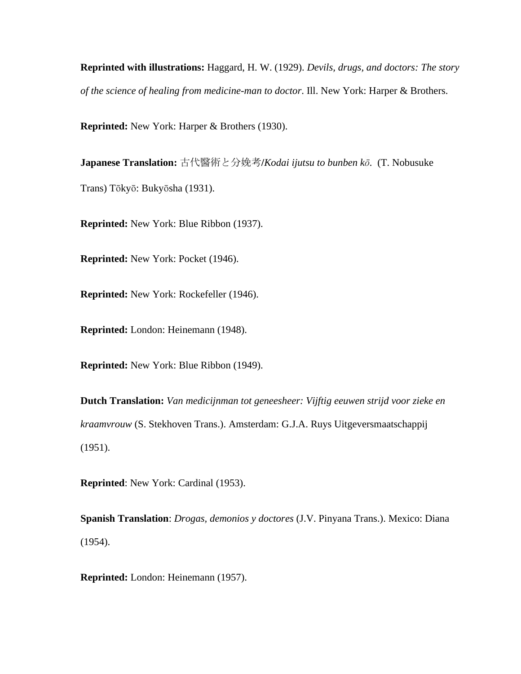**Reprinted with illustrations:** Haggard, H. W. (1929). *Devils, drugs, and doctors: The story of the science of healing from medicine-man to doctor*. Ill. New York: Harper & Brothers.

**Reprinted:** New York: Harper & Brothers (1930).

**Japanese Translation:** 古代醫術と分娩考**/***Kodai ijutsu to bunben kō.* (T. Nobusuke Trans) Tōkyō: Bukyōsha (1931).

**Reprinted:** New York: Blue Ribbon (1937).

**Reprinted:** New York: Pocket (1946).

**Reprinted:** New York: Rockefeller (1946).

**Reprinted:** London: Heinemann (1948).

**Reprinted:** New York: Blue Ribbon (1949).

**Dutch Translation:** *Van medicijnman tot geneesheer: Vijftig eeuwen strijd voor zieke en kraamvrouw* (S. Stekhoven Trans.). Amsterdam: G.J.A. Ruys Uitgeversmaatschappij (1951).

**Reprinted**: New York: Cardinal (1953).

**Spanish Translation**: *Drogas, demonios y doctores* (J.V. Pinyana Trans.). Mexico: Diana (1954).

**Reprinted:** London: Heinemann (1957).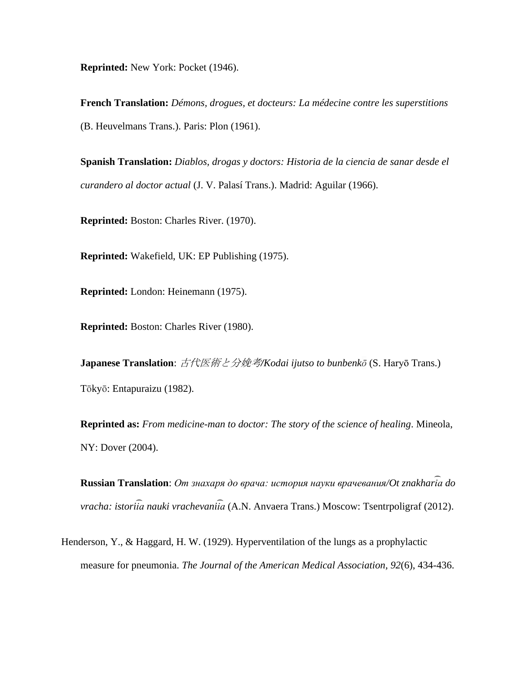**Reprinted:** New York: Pocket (1946).

**French Translation:** *Démons, drogues, et docteurs: La médecine contre les superstitions* (B. Heuvelmans Trans.). Paris: Plon (1961).

**Spanish Translation:** *Diablos, drogas y doctors: Historia de la ciencia de sanar desde el curandero al doctor actual* (J. V. Palasí Trans.). Madrid: Aguilar (1966).

**Reprinted:** Boston: Charles River. (1970).

**Reprinted:** Wakefield, UK: EP Publishing (1975).

**Reprinted:** London: Heinemann (1975).

**Reprinted:** Boston: Charles River (1980).

**Japanese Translation**: 古代医術と分娩考*/Kodai ijutso to bunbenkō* (S. Haryō Trans.) Tōkyō: Entapuraizu (1982).

**Reprinted as:** *From medicine-man to doctor: The story of the science of healing*. Mineola, NY: Dover (2004).

Russian Translation: *От знахаря до врача: история науки врачевания/Ot znakharia do vracha: istoriia nauki vrachevaniia* (A.N. Anvaera Trans.) Moscow: Tsentrpoligraf (2012).

Henderson, Y., & Haggard, H. W. (1929). Hyperventilation of the lungs as a prophylactic measure for pneumonia. *The Journal of the American Medical Association, 92*(6), 434-436.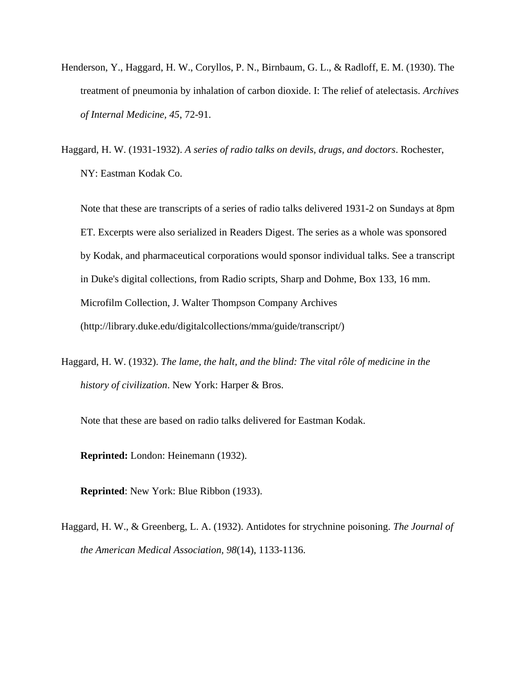- Henderson, Y., Haggard, H. W., Coryllos, P. N., Birnbaum, G. L., & Radloff, E. M. (1930). The treatment of pneumonia by inhalation of carbon dioxide. I: The relief of atelectasis. *Archives of Internal Medicine, 45*, 72-91.
- Haggard, H. W. (1931-1932). *A series of radio talks on devils, drugs, and doctors*. Rochester, NY: Eastman Kodak Co.

Note that these are transcripts of a series of radio talks delivered 1931-2 on Sundays at 8pm ET. Excerpts were also serialized in Readers Digest. The series as a whole was sponsored by Kodak, and pharmaceutical corporations would sponsor individual talks. See a transcript in Duke's digital collections, from Radio scripts, Sharp and Dohme, Box 133, 16 mm. Microfilm Collection, J. Walter Thompson Company Archives (http://library.duke.edu/digitalcollections/mma/guide/transcript/)

Haggard, H. W. (1932). *The lame, the halt, and the blind: The vital rôle of medicine in the history of civilization*. New York: Harper & Bros.

Note that these are based on radio talks delivered for Eastman Kodak.

**Reprinted:** London: Heinemann (1932).

**Reprinted**: New York: Blue Ribbon (1933).

Haggard, H. W., & Greenberg, L. A. (1932). Antidotes for strychnine poisoning. *The Journal of the American Medical Association, 98*(14), 1133-1136.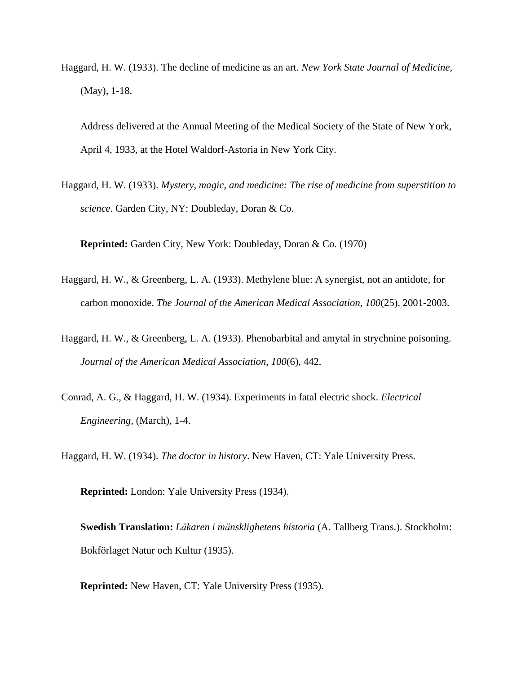Haggard, H. W. (1933). The decline of medicine as an art. *New York State Journal of Medicine,*  (May), 1-18.

Address delivered at the Annual Meeting of the Medical Society of the State of New York, April 4, 1933, at the Hotel Waldorf-Astoria in New York City.

Haggard, H. W. (1933). *Mystery, magic, and medicine: The rise of medicine from superstition to science*. Garden City, NY: Doubleday, Doran & Co.

**Reprinted:** Garden City, New York: Doubleday, Doran & Co. (1970)

- Haggard, H. W., & Greenberg, L. A. (1933). Methylene blue: A synergist, not an antidote, for carbon monoxide. *The Journal of the American Medical Association, 100*(25), 2001-2003.
- Haggard, H. W., & Greenberg, L. A. (1933). Phenobarbital and amytal in strychnine poisoning. *Journal of the American Medical Association, 100*(6), 442.
- Conrad, A. G., & Haggard, H. W. (1934). Experiments in fatal electric shock. *Electrical Engineering,* (March), 1-4.

Haggard, H. W. (1934). *The doctor in history*. New Haven, CT: Yale University Press.

**Reprinted:** London: Yale University Press (1934).

**Swedish Translation:** *Läkaren i mänsklighetens historia* (A. Tallberg Trans.). Stockholm: Bokförlaget Natur och Kultur (1935).

**Reprinted:** New Haven, CT: Yale University Press (1935).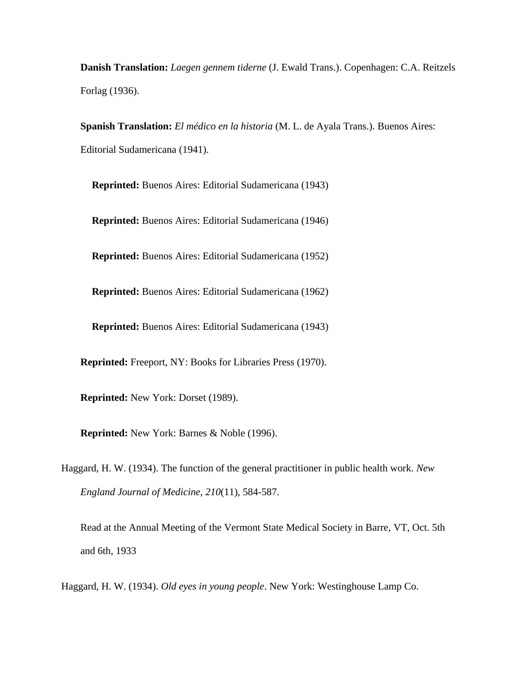**Danish Translation:** *Laegen gennem tiderne* (J. Ewald Trans.). Copenhagen: C.A. Reitzels Forlag (1936).

**Spanish Translation:** *El médico en la historia* (M. L. de Ayala Trans.). Buenos Aires: Editorial Sudamericana (1941).

**Reprinted:** Buenos Aires: Editorial Sudamericana (1943)

**Reprinted:** Buenos Aires: Editorial Sudamericana (1946)

**Reprinted:** Buenos Aires: Editorial Sudamericana (1952)

**Reprinted:** Buenos Aires: Editorial Sudamericana (1962)

**Reprinted:** Buenos Aires: Editorial Sudamericana (1943)

**Reprinted:** Freeport, NY: Books for Libraries Press (1970).

**Reprinted:** New York: Dorset (1989).

**Reprinted:** New York: Barnes & Noble (1996).

Haggard, H. W. (1934). The function of the general practitioner in public health work. *New England Journal of Medicine, 210*(11), 584-587.

Read at the Annual Meeting of the Vermont State Medical Society in Barre, VT, Oct. 5th and 6th, 1933

Haggard, H. W. (1934). *Old eyes in young people*. New York: Westinghouse Lamp Co.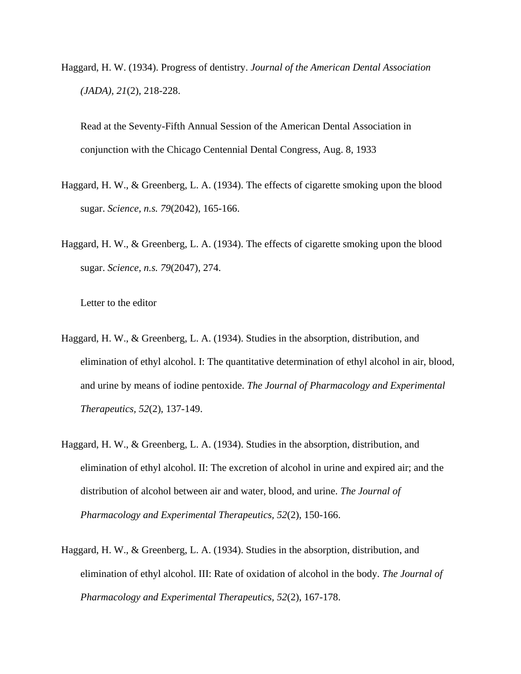Haggard, H. W. (1934). Progress of dentistry. *Journal of the American Dental Association (JADA), 21*(2), 218-228.

Read at the Seventy-Fifth Annual Session of the American Dental Association in conjunction with the Chicago Centennial Dental Congress, Aug. 8, 1933

- Haggard, H. W., & Greenberg, L. A. (1934). The effects of cigarette smoking upon the blood sugar. *Science, n.s. 79*(2042), 165-166.
- Haggard, H. W., & Greenberg, L. A. (1934). The effects of cigarette smoking upon the blood sugar. *Science, n.s. 79*(2047), 274.

Letter to the editor

- Haggard, H. W., & Greenberg, L. A. (1934). Studies in the absorption, distribution, and elimination of ethyl alcohol. I: The quantitative determination of ethyl alcohol in air, blood, and urine by means of iodine pentoxide. *The Journal of Pharmacology and Experimental Therapeutics, 52*(2), 137-149.
- Haggard, H. W., & Greenberg, L. A. (1934). Studies in the absorption, distribution, and elimination of ethyl alcohol. II: The excretion of alcohol in urine and expired air; and the distribution of alcohol between air and water, blood, and urine. *The Journal of Pharmacology and Experimental Therapeutics, 52*(2), 150-166.
- Haggard, H. W., & Greenberg, L. A. (1934). Studies in the absorption, distribution, and elimination of ethyl alcohol. III: Rate of oxidation of alcohol in the body. *The Journal of Pharmacology and Experimental Therapeutics, 52*(2), 167-178.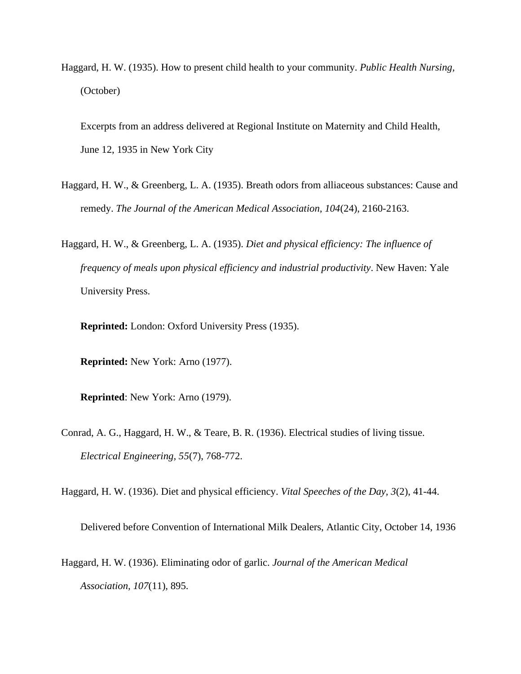Haggard, H. W. (1935). How to present child health to your community. *Public Health Nursing,*  (October)

Excerpts from an address delivered at Regional Institute on Maternity and Child Health, June 12, 1935 in New York City

- Haggard, H. W., & Greenberg, L. A. (1935). Breath odors from alliaceous substances: Cause and remedy. *The Journal of the American Medical Association, 104*(24), 2160-2163.
- Haggard, H. W., & Greenberg, L. A. (1935). *Diet and physical efficiency: The influence of frequency of meals upon physical efficiency and industrial productivity*. New Haven: Yale University Press.

**Reprinted:** London: Oxford University Press (1935).

**Reprinted:** New York: Arno (1977).

**Reprinted**: New York: Arno (1979).

Conrad, A. G., Haggard, H. W., & Teare, B. R. (1936). Electrical studies of living tissue. *Electrical Engineering, 55*(7), 768-772.

Haggard, H. W. (1936). Diet and physical efficiency. *Vital Speeches of the Day, 3*(2), 41-44.

Delivered before Convention of International Milk Dealers, Atlantic City, October 14, 1936

Haggard, H. W. (1936). Eliminating odor of garlic. *Journal of the American Medical Association, 107*(11), 895.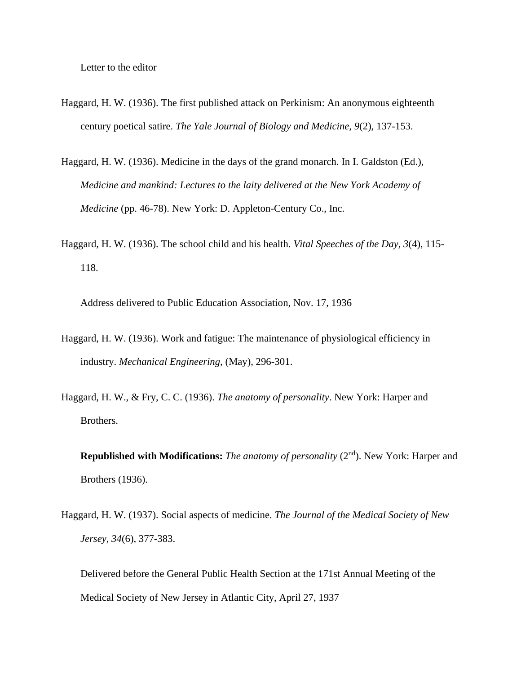Letter to the editor

- Haggard, H. W. (1936). The first published attack on Perkinism: An anonymous eighteenth century poetical satire. *The Yale Journal of Biology and Medicine, 9*(2), 137-153.
- Haggard, H. W. (1936). Medicine in the days of the grand monarch. In I. Galdston (Ed.), *Medicine and mankind: Lectures to the laity delivered at the New York Academy of Medicine* (pp. 46-78). New York: D. Appleton-Century Co., Inc.
- Haggard, H. W. (1936). The school child and his health. *Vital Speeches of the Day, 3*(4), 115- 118.

Address delivered to Public Education Association, Nov. 17, 1936

- Haggard, H. W. (1936). Work and fatigue: The maintenance of physiological efficiency in industry. *Mechanical Engineering,* (May), 296-301.
- Haggard, H. W., & Fry, C. C. (1936). *The anatomy of personality*. New York: Harper and Brothers.
	- **Republished with Modifications:** *The anatomy of personality* (2<sup>nd</sup>). New York: Harper and Brothers (1936).
- Haggard, H. W. (1937). Social aspects of medicine. *The Journal of the Medical Society of New Jersey, 34*(6), 377-383.
	- Delivered before the General Public Health Section at the 171st Annual Meeting of the Medical Society of New Jersey in Atlantic City, April 27, 1937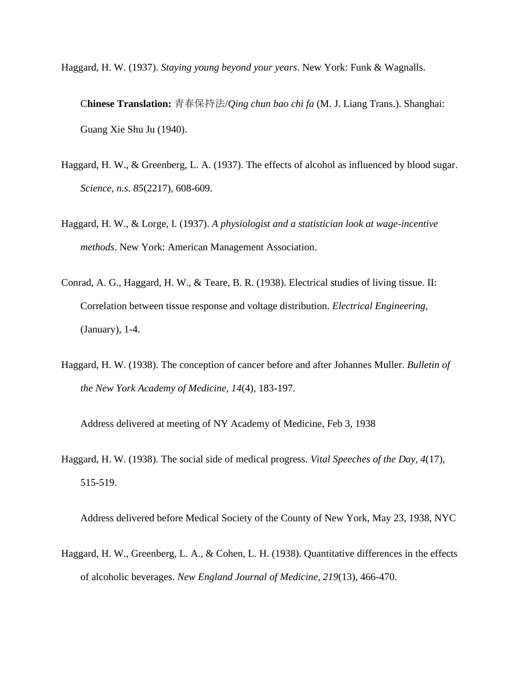Haggard, H. W. (1937). *Staying young beyond your years*. New York: Funk & Wagnalls.

C**hinese Translation:** 青春保持法/*Qing chun bao chi fa* (M. J. Liang Trans.). Shanghai: Guang Xie Shu Ju (1940).

- Haggard, H. W., & Greenberg, L. A. (1937). The effects of alcohol as influenced by blood sugar. *Science, n.s. 85*(2217), 608-609.
- Haggard, H. W., & Lorge, I. (1937). *A physiologist and a statistician look at wage-incentive methods*. New York: American Management Association.
- Conrad, A. G., Haggard, H. W., & Teare, B. R. (1938). Electrical studies of living tissue. II: Correlation between tissue response and voltage distribution. *Electrical Engineering,*  (January), 1-4.
- Haggard, H. W. (1938). The conception of cancer before and after Johannes Muller. *Bulletin of the New York Academy of Medicine, 14*(4), 183-197.

Address delivered at meeting of NY Academy of Medicine, Feb 3, 1938

Haggard, H. W. (1938). The social side of medical progress. *Vital Speeches of the Day, 4*(17), 515-519.

Address delivered before Medical Society of the County of New York, May 23, 1938, NYC

Haggard, H. W., Greenberg, L. A., & Cohen, L. H. (1938). Quantitative differences in the effects of alcoholic beverages. *New England Journal of Medicine, 219*(13), 466-470.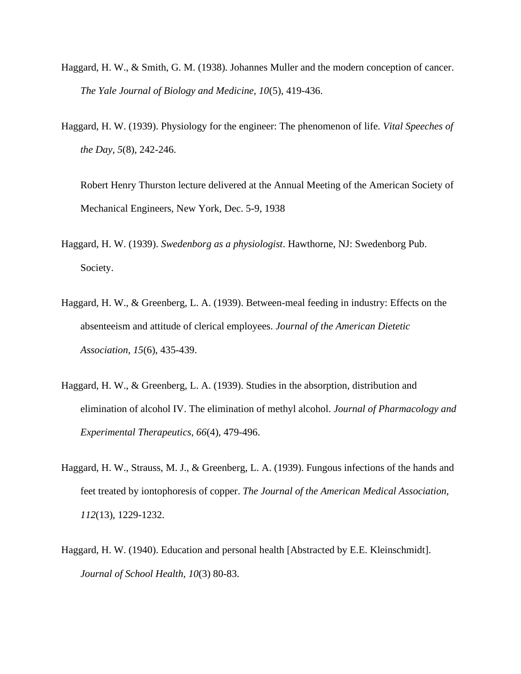- Haggard, H. W., & Smith, G. M. (1938). Johannes Muller and the modern conception of cancer. *The Yale Journal of Biology and Medicine, 10*(5), 419-436.
- Haggard, H. W. (1939). Physiology for the engineer: The phenomenon of life. *Vital Speeches of the Day, 5*(8), 242-246.

Robert Henry Thurston lecture delivered at the Annual Meeting of the American Society of Mechanical Engineers, New York, Dec. 5-9, 1938

- Haggard, H. W. (1939). *Swedenborg as a physiologist*. Hawthorne, NJ: Swedenborg Pub. Society.
- Haggard, H. W., & Greenberg, L. A. (1939). Between-meal feeding in industry: Effects on the absenteeism and attitude of clerical employees. *Journal of the American Dietetic Association, 15*(6), 435-439.
- Haggard, H. W., & Greenberg, L. A. (1939). Studies in the absorption, distribution and elimination of alcohol IV. The elimination of methyl alcohol. *Journal of Pharmacology and Experimental Therapeutics, 66*(4), 479-496.
- Haggard, H. W., Strauss, M. J., & Greenberg, L. A. (1939). Fungous infections of the hands and feet treated by iontophoresis of copper. *The Journal of the American Medical Association, 112*(13), 1229-1232.
- Haggard, H. W. (1940). Education and personal health [Abstracted by E.E. Kleinschmidt]. *Journal of School Health, 10*(3) 80-83.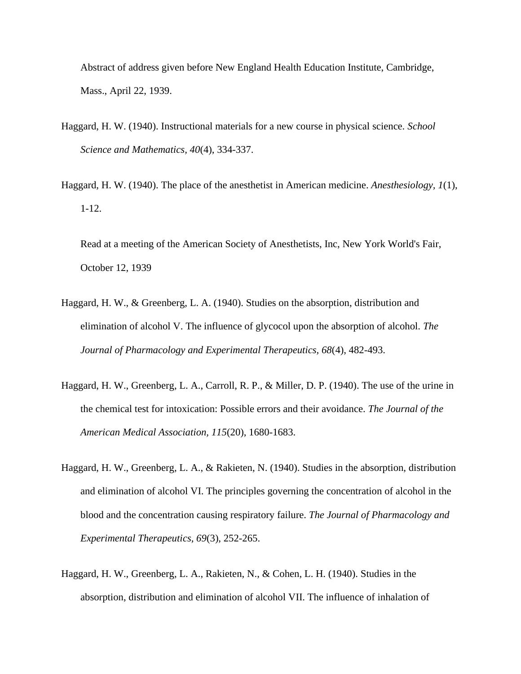Abstract of address given before New England Health Education Institute, Cambridge, Mass., April 22, 1939.

- Haggard, H. W. (1940). Instructional materials for a new course in physical science. *School Science and Mathematics, 40*(4), 334-337.
- Haggard, H. W. (1940). The place of the anesthetist in American medicine. *Anesthesiology, 1*(1), 1-12.

Read at a meeting of the American Society of Anesthetists, Inc, New York World's Fair, October 12, 1939

- Haggard, H. W., & Greenberg, L. A. (1940). Studies on the absorption, distribution and elimination of alcohol V. The influence of glycocol upon the absorption of alcohol. *The Journal of Pharmacology and Experimental Therapeutics, 68*(4), 482-493.
- Haggard, H. W., Greenberg, L. A., Carroll, R. P., & Miller, D. P. (1940). The use of the urine in the chemical test for intoxication: Possible errors and their avoidance. *The Journal of the American Medical Association, 115*(20), 1680-1683.
- Haggard, H. W., Greenberg, L. A., & Rakieten, N. (1940). Studies in the absorption, distribution and elimination of alcohol VI. The principles governing the concentration of alcohol in the blood and the concentration causing respiratory failure. *The Journal of Pharmacology and Experimental Therapeutics, 69*(3), 252-265.
- Haggard, H. W., Greenberg, L. A., Rakieten, N., & Cohen, L. H. (1940). Studies in the absorption, distribution and elimination of alcohol VII. The influence of inhalation of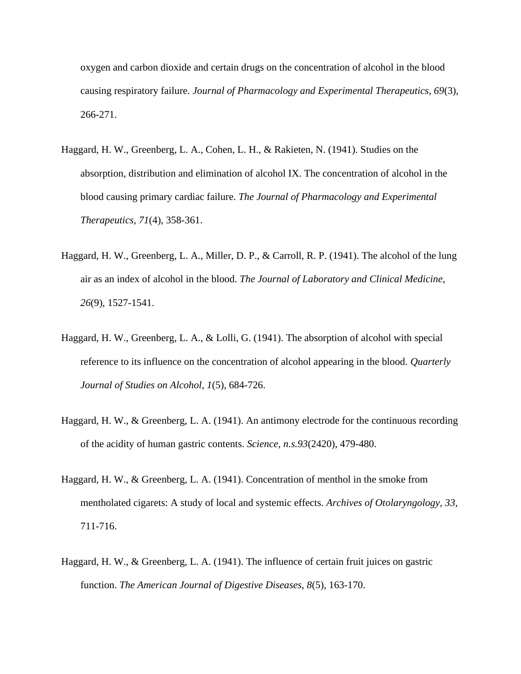oxygen and carbon dioxide and certain drugs on the concentration of alcohol in the blood causing respiratory failure. *Journal of Pharmacology and Experimental Therapeutics, 69*(3), 266-271.

- Haggard, H. W., Greenberg, L. A., Cohen, L. H., & Rakieten, N. (1941). Studies on the absorption, distribution and elimination of alcohol IX. The concentration of alcohol in the blood causing primary cardiac failure. *The Journal of Pharmacology and Experimental Therapeutics, 71*(4), 358-361.
- Haggard, H. W., Greenberg, L. A., Miller, D. P., & Carroll, R. P. (1941). The alcohol of the lung air as an index of alcohol in the blood. *The Journal of Laboratory and Clinical Medicine, 26*(9), 1527-1541.
- Haggard, H. W., Greenberg, L. A., & Lolli, G. (1941). The absorption of alcohol with special reference to its influence on the concentration of alcohol appearing in the blood. *Quarterly Journal of Studies on Alcohol, 1*(5), 684-726.
- Haggard, H. W., & Greenberg, L. A. (1941). An antimony electrode for the continuous recording of the acidity of human gastric contents. *Science, n.s.93*(2420), 479-480.
- Haggard, H. W., & Greenberg, L. A. (1941). Concentration of menthol in the smoke from mentholated cigarets: A study of local and systemic effects. *Archives of Otolaryngology, 33*, 711-716.
- Haggard, H. W., & Greenberg, L. A. (1941). The influence of certain fruit juices on gastric function. *The American Journal of Digestive Diseases, 8*(5), 163-170.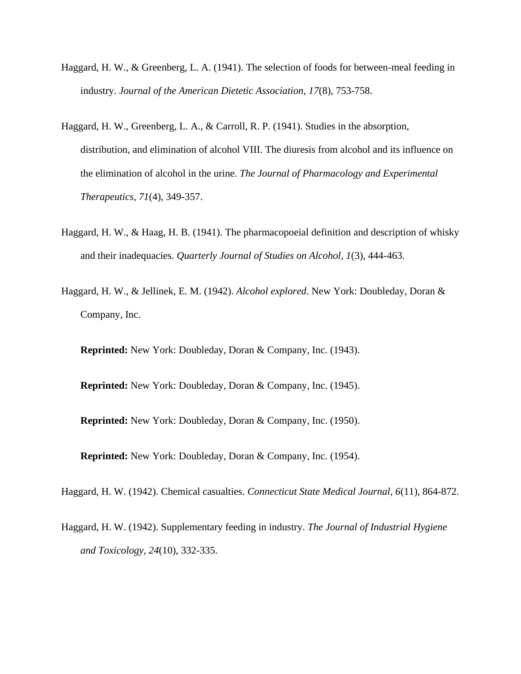- Haggard, H. W., & Greenberg, L. A. (1941). The selection of foods for between-meal feeding in industry. *Journal of the American Dietetic Association, 17*(8), 753-758.
- Haggard, H. W., Greenberg, L. A., & Carroll, R. P. (1941). Studies in the absorption, distribution, and elimination of alcohol VIII. The diuresis from alcohol and its influence on the elimination of alcohol in the urine. *The Journal of Pharmacology and Experimental Therapeutics, 71*(4), 349-357.
- Haggard, H. W., & Haag, H. B. (1941). The pharmacopoeial definition and description of whisky and their inadequacies. *Quarterly Journal of Studies on Alcohol, 1*(3), 444-463.
- Haggard, H. W., & Jellinek, E. M. (1942). *Alcohol explored*. New York: Doubleday, Doran & Company, Inc.

**Reprinted:** New York: Doubleday, Doran & Company, Inc. (1943).

**Reprinted:** New York: Doubleday, Doran & Company, Inc. (1945).

**Reprinted:** New York: Doubleday, Doran & Company, Inc. (1950).

**Reprinted:** New York: Doubleday, Doran & Company, Inc. (1954).

Haggard, H. W. (1942). Chemical casualties. *Connecticut State Medical Journal, 6*(11), 864-872.

Haggard, H. W. (1942). Supplementary feeding in industry. *The Journal of Industrial Hygiene and Toxicology, 24*(10), 332-335.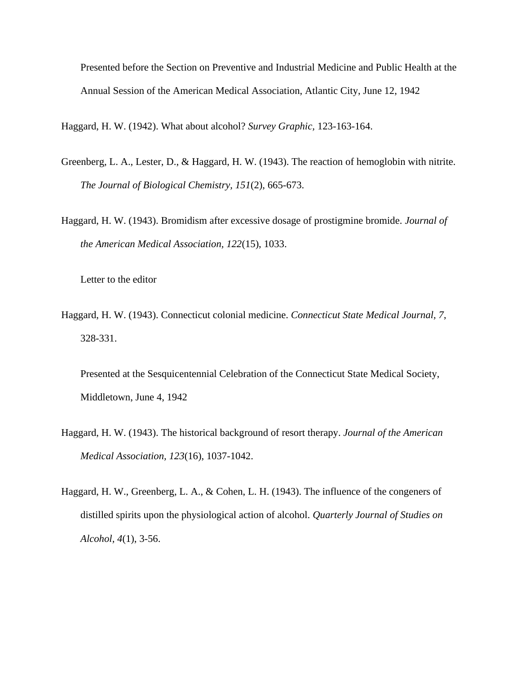Presented before the Section on Preventive and Industrial Medicine and Public Health at the Annual Session of the American Medical Association, Atlantic City, June 12, 1942

Haggard, H. W. (1942). What about alcohol? *Survey Graphic,* 123-163-164.

- Greenberg, L. A., Lester, D., & Haggard, H. W. (1943). The reaction of hemoglobin with nitrite. *The Journal of Biological Chemistry, 151*(2), 665-673.
- Haggard, H. W. (1943). Bromidism after excessive dosage of prostigmine bromide. *Journal of the American Medical Association, 122*(15), 1033.

Letter to the editor

Haggard, H. W. (1943). Connecticut colonial medicine. *Connecticut State Medical Journal, 7*, 328-331.

Presented at the Sesquicentennial Celebration of the Connecticut State Medical Society, Middletown, June 4, 1942

- Haggard, H. W. (1943). The historical background of resort therapy. *Journal of the American Medical Association, 123*(16), 1037-1042.
- Haggard, H. W., Greenberg, L. A., & Cohen, L. H. (1943). The influence of the congeners of distilled spirits upon the physiological action of alcohol. *Quarterly Journal of Studies on Alcohol, 4*(1), 3-56.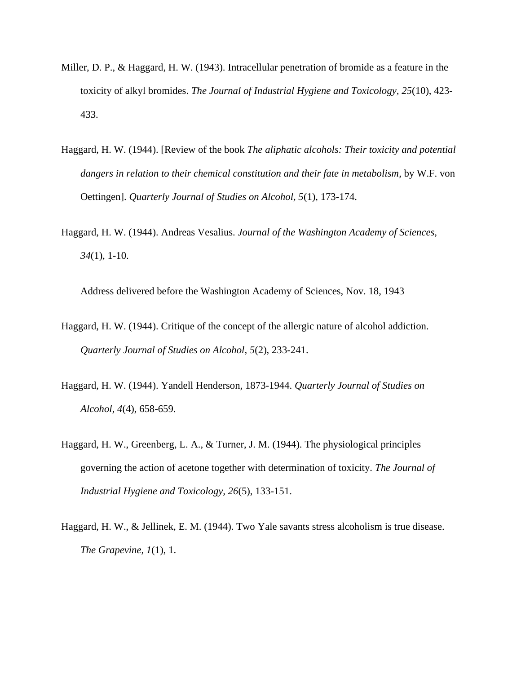- Miller, D. P., & Haggard, H. W. (1943). Intracellular penetration of bromide as a feature in the toxicity of alkyl bromides. *The Journal of Industrial Hygiene and Toxicology, 25*(10), 423- 433.
- Haggard, H. W. (1944). [Review of the book *The aliphatic alcohols: Their toxicity and potential dangers in relation to their chemical constitution and their fate in metabolism*, by W.F. von Oettingen]. *Quarterly Journal of Studies on Alcohol, 5*(1), 173-174.
- Haggard, H. W. (1944). Andreas Vesalius. *Journal of the Washington Academy of Sciences, 34*(1), 1-10.

Address delivered before the Washington Academy of Sciences, Nov. 18, 1943

- Haggard, H. W. (1944). Critique of the concept of the allergic nature of alcohol addiction. *Quarterly Journal of Studies on Alcohol, 5*(2), 233-241.
- Haggard, H. W. (1944). Yandell Henderson, 1873-1944. *Quarterly Journal of Studies on Alcohol, 4*(4), 658-659.
- Haggard, H. W., Greenberg, L. A., & Turner, J. M. (1944). The physiological principles governing the action of acetone together with determination of toxicity. *The Journal of Industrial Hygiene and Toxicology, 26*(5), 133-151.
- Haggard, H. W., & Jellinek, E. M. (1944). Two Yale savants stress alcoholism is true disease. *The Grapevine, 1*(1), 1.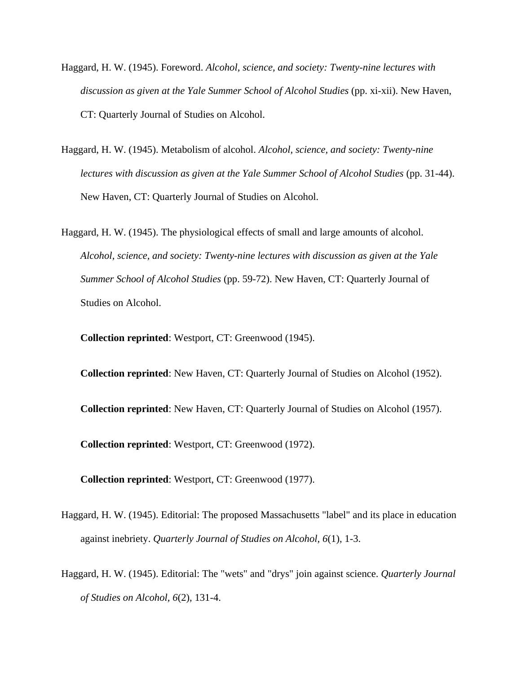- Haggard, H. W. (1945). Foreword. *Alcohol, science, and society: Twenty-nine lectures with discussion as given at the Yale Summer School of Alcohol Studies* (pp. xi-xii). New Haven, CT: Quarterly Journal of Studies on Alcohol.
- Haggard, H. W. (1945). Metabolism of alcohol. *Alcohol, science, and society: Twenty-nine lectures with discussion as given at the Yale Summer School of Alcohol Studies* (pp. 31-44). New Haven, CT: Quarterly Journal of Studies on Alcohol.
- Haggard, H. W. (1945). The physiological effects of small and large amounts of alcohol. *Alcohol, science, and society: Twenty-nine lectures with discussion as given at the Yale Summer School of Alcohol Studies* (pp. 59-72). New Haven, CT: Quarterly Journal of Studies on Alcohol.

**Collection reprinted**: Westport, CT: Greenwood (1945).

**Collection reprinted**: New Haven, CT: Quarterly Journal of Studies on Alcohol (1952). **Collection reprinted**: New Haven, CT: Quarterly Journal of Studies on Alcohol (1957). **Collection reprinted**: Westport, CT: Greenwood (1972).

**Collection reprinted**: Westport, CT: Greenwood (1977).

- Haggard, H. W. (1945). Editorial: The proposed Massachusetts "label" and its place in education against inebriety. *Quarterly Journal of Studies on Alcohol, 6*(1), 1-3.
- Haggard, H. W. (1945). Editorial: The "wets" and "drys" join against science. *Quarterly Journal of Studies on Alcohol, 6*(2), 131-4.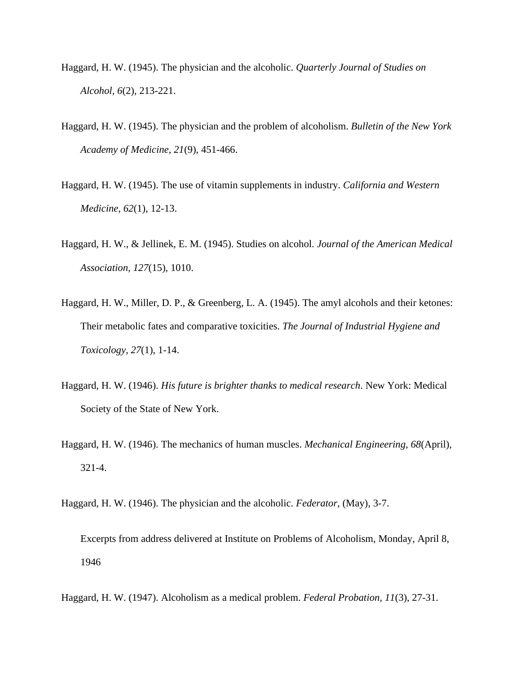- Haggard, H. W. (1945). The physician and the alcoholic. *Quarterly Journal of Studies on Alcohol, 6*(2), 213-221.
- Haggard, H. W. (1945). The physician and the problem of alcoholism. *Bulletin of the New York Academy of Medicine, 21*(9), 451-466.
- Haggard, H. W. (1945). The use of vitamin supplements in industry. *California and Western Medicine, 62*(1), 12-13.
- Haggard, H. W., & Jellinek, E. M. (1945). Studies on alcohol. *Journal of the American Medical Association, 127*(15), 1010.
- Haggard, H. W., Miller, D. P., & Greenberg, L. A. (1945). The amyl alcohols and their ketones: Their metabolic fates and comparative toxicities. *The Journal of Industrial Hygiene and Toxicology, 27*(1), 1-14.
- Haggard, H. W. (1946). *His future is brighter thanks to medical research*. New York: Medical Society of the State of New York.
- Haggard, H. W. (1946). The mechanics of human muscles. *Mechanical Engineering, 68*(April), 321-4.
- Haggard, H. W. (1946). The physician and the alcoholic. *Federator,* (May), 3-7.

Excerpts from address delivered at Institute on Problems of Alcoholism, Monday, April 8, 1946

Haggard, H. W. (1947). Alcoholism as a medical problem. *Federal Probation, 11*(3), 27-31.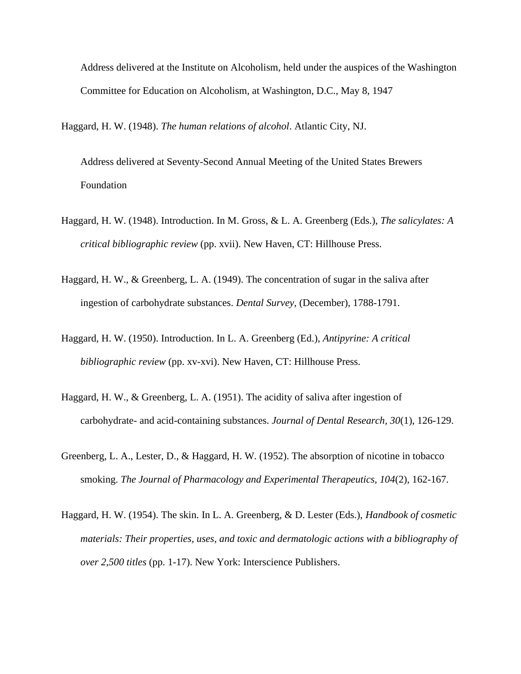Address delivered at the Institute on Alcoholism, held under the auspices of the Washington Committee for Education on Alcoholism, at Washington, D.C., May 8, 1947

Haggard, H. W. (1948). *The human relations of alcohol*. Atlantic City, NJ.

Address delivered at Seventy-Second Annual Meeting of the United States Brewers Foundation

- Haggard, H. W. (1948). Introduction. In M. Gross, & L. A. Greenberg (Eds.), *The salicylates: A critical bibliographic review* (pp. xvii). New Haven, CT: Hillhouse Press.
- Haggard, H. W., & Greenberg, L. A. (1949). The concentration of sugar in the saliva after ingestion of carbohydrate substances. *Dental Survey,* (December), 1788-1791.
- Haggard, H. W. (1950). Introduction. In L. A. Greenberg (Ed.), *Antipyrine: A critical bibliographic review* (pp. xv-xvi). New Haven, CT: Hillhouse Press.
- Haggard, H. W., & Greenberg, L. A. (1951). The acidity of saliva after ingestion of carbohydrate- and acid-containing substances. *Journal of Dental Research, 30*(1), 126-129.
- Greenberg, L. A., Lester, D., & Haggard, H. W. (1952). The absorption of nicotine in tobacco smoking. *The Journal of Pharmacology and Experimental Therapeutics, 104*(2), 162-167.
- Haggard, H. W. (1954). The skin. In L. A. Greenberg, & D. Lester (Eds.), *Handbook of cosmetic materials: Their properties, uses, and toxic and dermatologic actions with a bibliography of over 2,500 titles* (pp. 1-17). New York: Interscience Publishers.